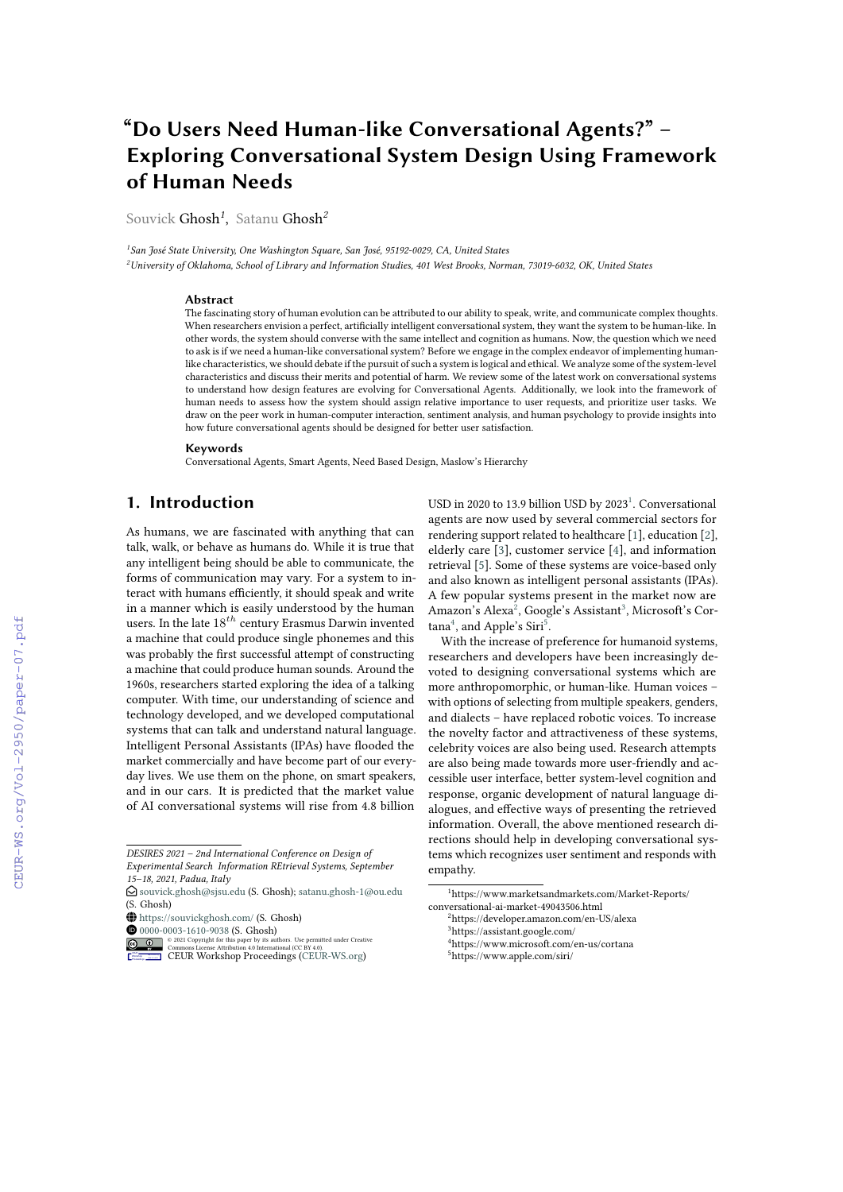# **"Do Users Need Human-like Conversational Agents?" – Exploring Conversational System Design Using Framework of Human Needs**

Souvick Ghosh*<sup>1</sup>* , Satanu Ghosh*<sup>2</sup>*

*1 San José State University, One Washington Square, San José, 95192-0029, CA, United States <sup>2</sup>University of Oklahoma, School of Library and Information Studies, 401 West Brooks, Norman, 73019-6032, OK, United States*

#### **Abstract**

The fascinating story of human evolution can be attributed to our ability to speak, write, and communicate complex thoughts. When researchers envision a perfect, artificially intelligent conversational system, they want the system to be human-like. In other words, the system should converse with the same intellect and cognition as humans. Now, the question which we need to ask is if we need a human-like conversational system? Before we engage in the complex endeavor of implementing humanlike characteristics, we should debate if the pursuit of such a system is logical and ethical. We analyze some of the system-level characteristics and discuss their merits and potential of harm. We review some of the latest work on conversational systems to understand how design features are evolving for Conversational Agents. Additionally, we look into the framework of human needs to assess how the system should assign relative importance to user requests, and prioritize user tasks. We draw on the peer work in human-computer interaction, sentiment analysis, and human psychology to provide insights into how future conversational agents should be designed for better user satisfaction.

#### **Keywords**

Conversational Agents, Smart Agents, Need Based Design, Maslow's Hierarchy

## **1. Introduction**

As humans, we are fascinated with anything that can talk, walk, or behave as humans do. While it is true that any intelligent being should be able to communicate, the forms of communication may vary. For a system to interact with humans efficiently, it should speak and write in a manner which is easily understood by the human users. In the late  $18^{th}$  century Erasmus Darwin invented a machine that could produce single phonemes and this was probably the first successful attempt of constructing a machine that could produce human sounds. Around the 1960s, researchers started exploring the idea of a talking computer. With time, our understanding of science and technology developed, and we developed computational systems that can talk and understand natural language. Intelligent Personal Assistants (IPAs) have flooded the market commercially and have become part of our everyday lives. We use them on the phone, on smart speakers, and in our cars. It is predicted that the market value of AI conversational systems will rise from 4.8 billion

USD in 2020 to [1](#page-0-0)3.9 billion USD by  $2023<sup>1</sup>$ . Conversational agents are now used by several commercial sectors for rendering support related to healthcare [\[1\]](#page--1-0), education [\[2\]](#page--1-1), elderly care [\[3\]](#page--1-2), customer service [\[4\]](#page--1-3), and information retrieval [\[5\]](#page--1-4). Some of these systems are voice-based only and also known as intelligent personal assistants (IPAs). A few popular systems present in the market now are Amazon's Alexa<sup>[2](#page-0-1)</sup>, Google's Assistant<sup>[3](#page-0-2)</sup>, Microsoft's Cor- $tana<sup>4</sup>$  $tana<sup>4</sup>$  $tana<sup>4</sup>$ , and Apple's Siri<sup>[5](#page-0-4)</sup>.

With the increase of preference for humanoid systems, researchers and developers have been increasingly devoted to designing conversational systems which are more anthropomorphic, or human-like. Human voices – with options of selecting from multiple speakers, genders, and dialects – have replaced robotic voices. To increase the novelty factor and attractiveness of these systems, celebrity voices are also being used. Research attempts are also being made towards more user-friendly and accessible user interface, better system-level cognition and response, organic development of natural language dialogues, and effective ways of presenting the retrieved information. Overall, the above mentioned research directions should help in developing conversational systems which recognizes user sentiment and responds with empathy.

<span id="page-0-2"></span><sup>3</sup>https://assistant.google.com/

*DESIRES 2021 – 2nd International Conference on Design of Experimental Search Information REtrieval Systems, September 15–18, 2021, Padua, Italy*

 $\Theta$  [souvick.ghosh@sjsu.edu](mailto:souvick.ghosh@sjsu.edu) (S. Ghosh); [satanu.ghosh-1@ou.edu](mailto:satanu.ghosh-1@ou.edu) (S. Ghosh)

<sup>~</sup> <https://souvickghosh.com/> (S. Ghosh)

[0000-0003-1610-9038](https://orcid.org/0000-0003-1610-9038) (S. Ghosh)

**D 0 2021** Commons License Attribution 4.0 line translational (CC BY 4.0).<br>
COMMON SURFA[CEUR](https://creativecommons.org/licenses/by/4.0) WORKShOP [Proceedings](http://ceur-ws.org) [\(CEUR-WS.org\)](http://ceur-ws.org)

<span id="page-0-0"></span><sup>1</sup>https://www.marketsandmarkets.com/Market-Reports/ conversational-ai-market-49043506.html

<span id="page-0-1"></span><sup>2</sup>https://developer.amazon.com/en-US/alexa

<span id="page-0-4"></span><span id="page-0-3"></span><sup>4</sup>https://www.microsoft.com/en-us/cortana <sup>5</sup>https://www.apple.com/siri/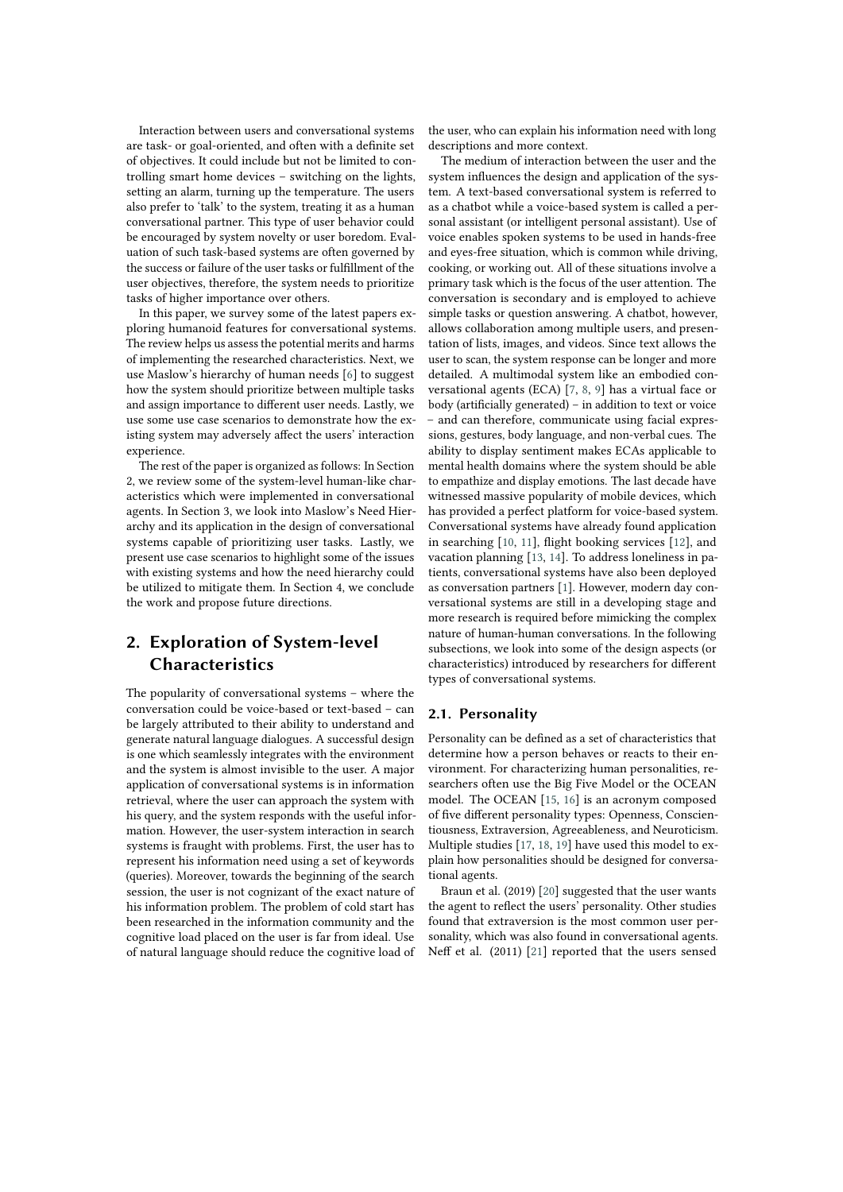Interaction between users and conversational systems are task- or goal-oriented, and often with a definite set of objectives. It could include but not be limited to controlling smart home devices – switching on the lights, setting an alarm, turning up the temperature. The users also prefer to 'talk' to the system, treating it as a human conversational partner. This type of user behavior could be encouraged by system novelty or user boredom. Evaluation of such task-based systems are often governed by the success or failure of the user tasks or fulfillment of the user objectives, therefore, the system needs to prioritize tasks of higher importance over others.

In this paper, we survey some of the latest papers exploring humanoid features for conversational systems. The review helps us assess the potential merits and harms of implementing the researched characteristics. Next, we use Maslow's hierarchy of human needs [\[6\]](#page-7-0) to suggest how the system should prioritize between multiple tasks and assign importance to different user needs. Lastly, we use some use case scenarios to demonstrate how the existing system may adversely affect the users' interaction experience.

The rest of the paper is organized as follows: In Section 2, we review some of the system-level human-like characteristics which were implemented in conversational agents. In Section 3, we look into Maslow's Need Hierarchy and its application in the design of conversational systems capable of prioritizing user tasks. Lastly, we present use case scenarios to highlight some of the issues with existing systems and how the need hierarchy could be utilized to mitigate them. In Section 4, we conclude the work and propose future directions.

## **2. Exploration of System-level Characteristics**

The popularity of conversational systems – where the conversation could be voice-based or text-based – can be largely attributed to their ability to understand and generate natural language dialogues. A successful design is one which seamlessly integrates with the environment and the system is almost invisible to the user. A major application of conversational systems is in information retrieval, where the user can approach the system with his query, and the system responds with the useful information. However, the user-system interaction in search systems is fraught with problems. First, the user has to represent his information need using a set of keywords (queries). Moreover, towards the beginning of the search session, the user is not cognizant of the exact nature of his information problem. The problem of cold start has been researched in the information community and the cognitive load placed on the user is far from ideal. Use of natural language should reduce the cognitive load of the user, who can explain his information need with long descriptions and more context.

The medium of interaction between the user and the system influences the design and application of the system. A text-based conversational system is referred to as a chatbot while a voice-based system is called a personal assistant (or intelligent personal assistant). Use of voice enables spoken systems to be used in hands-free and eyes-free situation, which is common while driving, cooking, or working out. All of these situations involve a primary task which is the focus of the user attention. The conversation is secondary and is employed to achieve simple tasks or question answering. A chatbot, however, allows collaboration among multiple users, and presentation of lists, images, and videos. Since text allows the user to scan, the system response can be longer and more detailed. A multimodal system like an embodied conversational agents (ECA) [\[7,](#page-7-1) [8,](#page-7-2) [9\]](#page-7-3) has a virtual face or body (artificially generated) – in addition to text or voice – and can therefore, communicate using facial expressions, gestures, body language, and non-verbal cues. The ability to display sentiment makes ECAs applicable to mental health domains where the system should be able to empathize and display emotions. The last decade have witnessed massive popularity of mobile devices, which has provided a perfect platform for voice-based system. Conversational systems have already found application in searching [\[10,](#page-7-4) [11\]](#page-7-5), flight booking services [\[12\]](#page-7-6), and vacation planning [\[13,](#page-7-7) [14\]](#page-7-8). To address loneliness in patients, conversational systems have also been deployed as conversation partners [\[1\]](#page-7-9). However, modern day conversational systems are still in a developing stage and more research is required before mimicking the complex nature of human-human conversations. In the following subsections, we look into some of the design aspects (or characteristics) introduced by researchers for different types of conversational systems.

#### **2.1. Personality**

Personality can be defined as a set of characteristics that determine how a person behaves or reacts to their environment. For characterizing human personalities, researchers often use the Big Five Model or the OCEAN model. The OCEAN [\[15,](#page-7-10) [16\]](#page-8-0) is an acronym composed of five different personality types: Openness, Conscientiousness, Extraversion, Agreeableness, and Neuroticism. Multiple studies [\[17,](#page-8-1) [18,](#page-8-2) [19\]](#page-8-3) have used this model to explain how personalities should be designed for conversational agents.

Braun et al. (2019) [\[20\]](#page-8-4) suggested that the user wants the agent to reflect the users' personality. Other studies found that extraversion is the most common user personality, which was also found in conversational agents. Neff et al. (2011) [\[21\]](#page-8-5) reported that the users sensed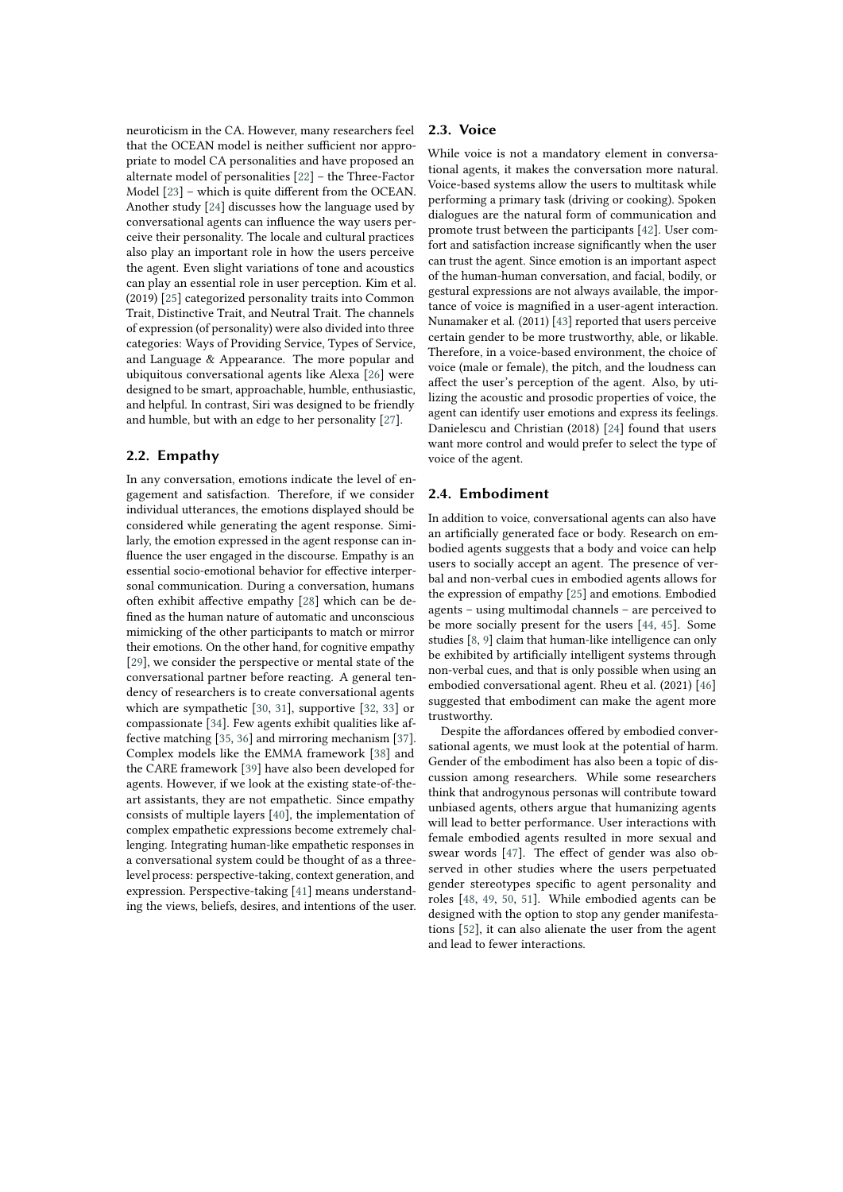neuroticism in the CA. However, many researchers feel that the OCEAN model is neither sufficient nor appropriate to model CA personalities and have proposed an alternate model of personalities [\[22\]](#page-8-6) – the Three-Factor Model [\[23\]](#page-8-7) – which is quite different from the OCEAN. Another study [\[24\]](#page-8-8) discusses how the language used by conversational agents can influence the way users perceive their personality. The locale and cultural practices also play an important role in how the users perceive the agent. Even slight variations of tone and acoustics can play an essential role in user perception. Kim et al. (2019) [\[25\]](#page-8-9) categorized personality traits into Common Trait, Distinctive Trait, and Neutral Trait. The channels of expression (of personality) were also divided into three categories: Ways of Providing Service, Types of Service, and Language & Appearance. The more popular and ubiquitous conversational agents like Alexa [\[26\]](#page-8-10) were designed to be smart, approachable, humble, enthusiastic, and helpful. In contrast, Siri was designed to be friendly and humble, but with an edge to her personality [\[27\]](#page-8-11).

#### **2.2. Empathy**

In any conversation, emotions indicate the level of engagement and satisfaction. Therefore, if we consider individual utterances, the emotions displayed should be considered while generating the agent response. Similarly, the emotion expressed in the agent response can influence the user engaged in the discourse. Empathy is an essential socio-emotional behavior for effective interpersonal communication. During a conversation, humans often exhibit affective empathy [\[28\]](#page-8-12) which can be defined as the human nature of automatic and unconscious mimicking of the other participants to match or mirror their emotions. On the other hand, for cognitive empathy [\[29\]](#page-8-13), we consider the perspective or mental state of the conversational partner before reacting. A general tendency of researchers is to create conversational agents which are sympathetic [\[30,](#page-8-14) [31\]](#page-8-15), supportive [\[32,](#page-8-16) [33\]](#page-8-17) or compassionate [\[34\]](#page-8-18). Few agents exhibit qualities like affective matching [\[35,](#page-8-19) [36\]](#page-8-20) and mirroring mechanism [\[37\]](#page-8-21). Complex models like the EMMA framework [\[38\]](#page-8-22) and the CARE framework [\[39\]](#page-8-23) have also been developed for agents. However, if we look at the existing state-of-theart assistants, they are not empathetic. Since empathy consists of multiple layers [\[40\]](#page-8-24), the implementation of complex empathetic expressions become extremely challenging. Integrating human-like empathetic responses in a conversational system could be thought of as a threelevel process: perspective-taking, context generation, and expression. Perspective-taking [\[41\]](#page-8-25) means understanding the views, beliefs, desires, and intentions of the user.

#### **2.3. Voice**

While voice is not a mandatory element in conversational agents, it makes the conversation more natural. Voice-based systems allow the users to multitask while performing a primary task (driving or cooking). Spoken dialogues are the natural form of communication and promote trust between the participants [\[42\]](#page-9-0). User comfort and satisfaction increase significantly when the user can trust the agent. Since emotion is an important aspect of the human-human conversation, and facial, bodily, or gestural expressions are not always available, the importance of voice is magnified in a user-agent interaction. Nunamaker et al. (2011) [\[43\]](#page-9-1) reported that users perceive certain gender to be more trustworthy, able, or likable. Therefore, in a voice-based environment, the choice of voice (male or female), the pitch, and the loudness can affect the user's perception of the agent. Also, by utilizing the acoustic and prosodic properties of voice, the agent can identify user emotions and express its feelings. Danielescu and Christian (2018) [\[24\]](#page-8-8) found that users want more control and would prefer to select the type of voice of the agent.

### **2.4. Embodiment**

In addition to voice, conversational agents can also have an artificially generated face or body. Research on embodied agents suggests that a body and voice can help users to socially accept an agent. The presence of verbal and non-verbal cues in embodied agents allows for the expression of empathy [\[25\]](#page-8-9) and emotions. Embodied agents – using multimodal channels – are perceived to be more socially present for the users [\[44,](#page-9-2) [45\]](#page-9-3). Some studies [\[8,](#page-7-2) [9\]](#page-7-3) claim that human-like intelligence can only be exhibited by artificially intelligent systems through non-verbal cues, and that is only possible when using an embodied conversational agent. Rheu et al. (2021) [\[46\]](#page-9-4) suggested that embodiment can make the agent more trustworthy.

Despite the affordances offered by embodied conversational agents, we must look at the potential of harm. Gender of the embodiment has also been a topic of discussion among researchers. While some researchers think that androgynous personas will contribute toward unbiased agents, others argue that humanizing agents will lead to better performance. User interactions with female embodied agents resulted in more sexual and swear words [\[47\]](#page-9-5). The effect of gender was also observed in other studies where the users perpetuated gender stereotypes specific to agent personality and roles [\[48,](#page-9-6) [49,](#page-9-7) [50,](#page-9-8) [51\]](#page-9-9). While embodied agents can be designed with the option to stop any gender manifestations [\[52\]](#page-9-10), it can also alienate the user from the agent and lead to fewer interactions.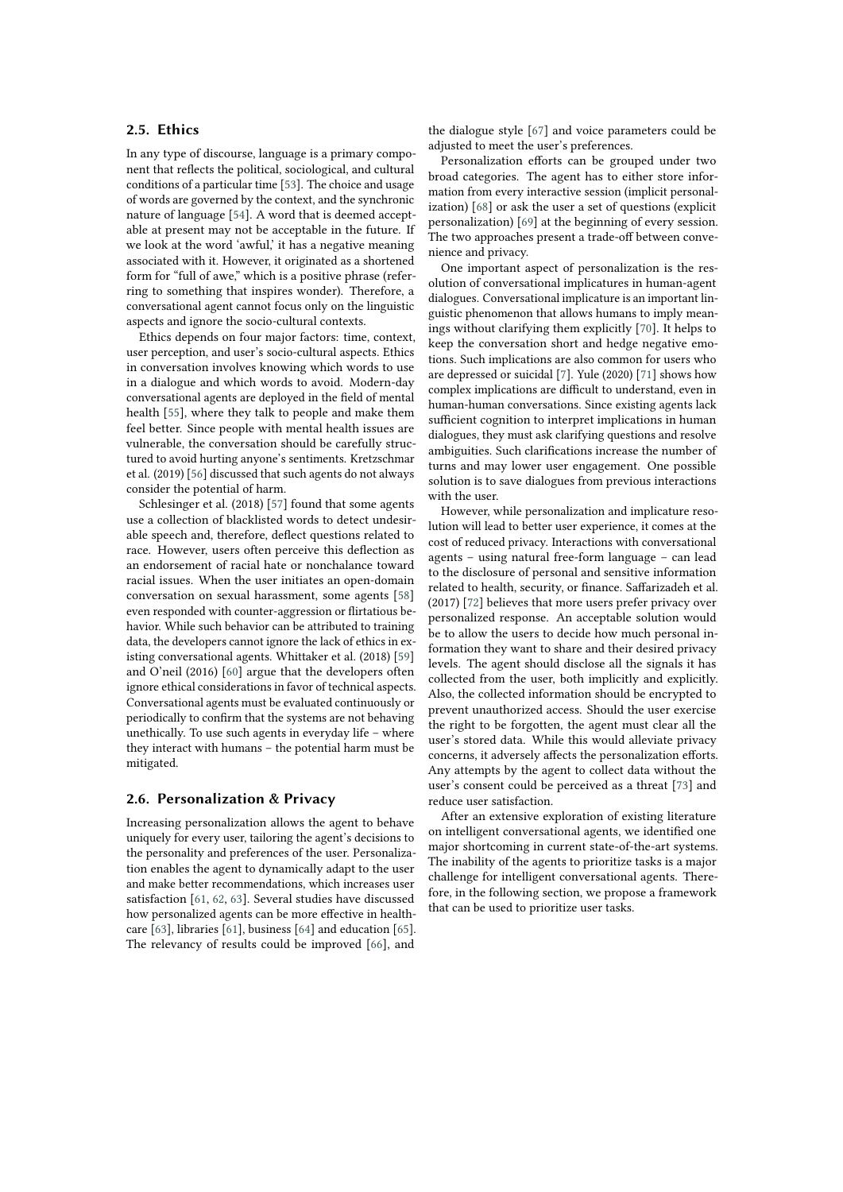#### **2.5. Ethics**

In any type of discourse, language is a primary component that reflects the political, sociological, and cultural conditions of a particular time [\[53\]](#page-9-11). The choice and usage of words are governed by the context, and the synchronic nature of language [\[54\]](#page-9-12). A word that is deemed acceptable at present may not be acceptable in the future. If we look at the word 'awful,' it has a negative meaning associated with it. However, it originated as a shortened form for "full of awe," which is a positive phrase (referring to something that inspires wonder). Therefore, a conversational agent cannot focus only on the linguistic aspects and ignore the socio-cultural contexts.

Ethics depends on four major factors: time, context, user perception, and user's socio-cultural aspects. Ethics in conversation involves knowing which words to use in a dialogue and which words to avoid. Modern-day conversational agents are deployed in the field of mental health [\[55\]](#page-9-13), where they talk to people and make them feel better. Since people with mental health issues are vulnerable, the conversation should be carefully structured to avoid hurting anyone's sentiments. Kretzschmar et al. (2019) [\[56\]](#page-9-14) discussed that such agents do not always consider the potential of harm.

Schlesinger et al. (2018) [\[57\]](#page-9-15) found that some agents use a collection of blacklisted words to detect undesirable speech and, therefore, deflect questions related to race. However, users often perceive this deflection as an endorsement of racial hate or nonchalance toward racial issues. When the user initiates an open-domain conversation on sexual harassment, some agents [\[58\]](#page-9-16) even responded with counter-aggression or flirtatious behavior. While such behavior can be attributed to training data, the developers cannot ignore the lack of ethics in existing conversational agents. Whittaker et al. (2018) [\[59\]](#page-9-17) and O'neil (2016) [\[60\]](#page-9-18) argue that the developers often ignore ethical considerations in favor of technical aspects. Conversational agents must be evaluated continuously or periodically to confirm that the systems are not behaving unethically. To use such agents in everyday life – where they interact with humans – the potential harm must be mitigated.

#### **2.6. Personalization & Privacy**

Increasing personalization allows the agent to behave uniquely for every user, tailoring the agent's decisions to the personality and preferences of the user. Personalization enables the agent to dynamically adapt to the user and make better recommendations, which increases user satisfaction [\[61,](#page-9-19) [62,](#page-9-20) [63\]](#page-9-21). Several studies have discussed how personalized agents can be more effective in healthcare [\[63\]](#page-9-21), libraries [\[61\]](#page-9-19), business [\[64\]](#page-9-22) and education [\[65\]](#page-9-23). The relevancy of results could be improved [\[66\]](#page-9-24), and

the dialogue style [\[67\]](#page-9-25) and voice parameters could be adjusted to meet the user's preferences.

Personalization efforts can be grouped under two broad categories. The agent has to either store information from every interactive session (implicit personalization) [\[68\]](#page-9-26) or ask the user a set of questions (explicit personalization) [\[69\]](#page-9-27) at the beginning of every session. The two approaches present a trade-off between convenience and privacy.

One important aspect of personalization is the resolution of conversational implicatures in human-agent dialogues. Conversational implicature is an important linguistic phenomenon that allows humans to imply meanings without clarifying them explicitly [\[70\]](#page-10-0). It helps to keep the conversation short and hedge negative emotions. Such implications are also common for users who are depressed or suicidal [\[7\]](#page-7-1). Yule (2020) [\[71\]](#page-10-1) shows how complex implications are difficult to understand, even in human-human conversations. Since existing agents lack sufficient cognition to interpret implications in human dialogues, they must ask clarifying questions and resolve ambiguities. Such clarifications increase the number of turns and may lower user engagement. One possible solution is to save dialogues from previous interactions with the user.

However, while personalization and implicature resolution will lead to better user experience, it comes at the cost of reduced privacy. Interactions with conversational agents – using natural free-form language – can lead to the disclosure of personal and sensitive information related to health, security, or finance. Saffarizadeh et al. (2017) [\[72\]](#page-10-2) believes that more users prefer privacy over personalized response. An acceptable solution would be to allow the users to decide how much personal information they want to share and their desired privacy levels. The agent should disclose all the signals it has collected from the user, both implicitly and explicitly. Also, the collected information should be encrypted to prevent unauthorized access. Should the user exercise the right to be forgotten, the agent must clear all the user's stored data. While this would alleviate privacy concerns, it adversely affects the personalization efforts. Any attempts by the agent to collect data without the user's consent could be perceived as a threat [\[73\]](#page-10-3) and reduce user satisfaction.

After an extensive exploration of existing literature on intelligent conversational agents, we identified one major shortcoming in current state-of-the-art systems. The inability of the agents to prioritize tasks is a major challenge for intelligent conversational agents. Therefore, in the following section, we propose a framework that can be used to prioritize user tasks.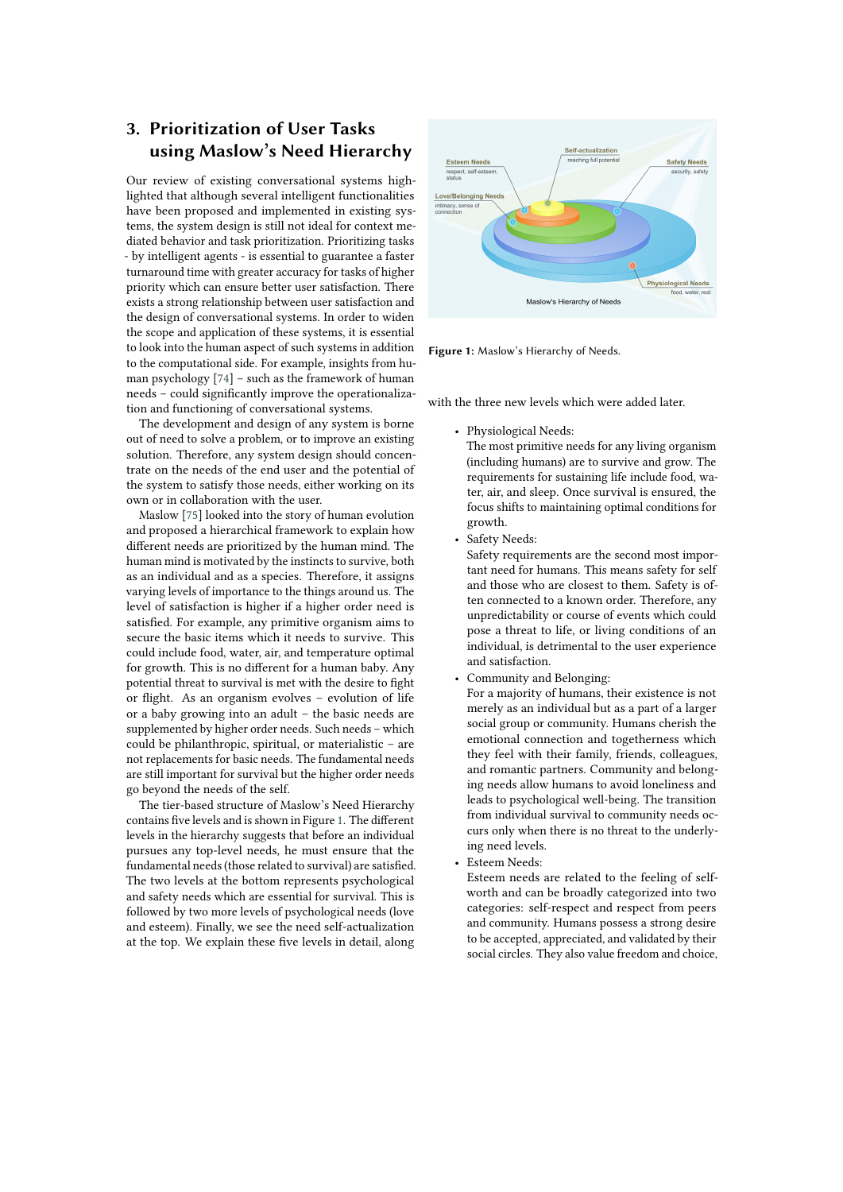## **3. Prioritization of User Tasks using Maslow's Need Hierarchy**

Our review of existing conversational systems highlighted that although several intelligent functionalities have been proposed and implemented in existing systems, the system design is still not ideal for context mediated behavior and task prioritization. Prioritizing tasks - by intelligent agents - is essential to guarantee a faster turnaround time with greater accuracy for tasks of higher priority which can ensure better user satisfaction. There exists a strong relationship between user satisfaction and the design of conversational systems. In order to widen the scope and application of these systems, it is essential to look into the human aspect of such systems in addition to the computational side. For example, insights from human psychology [\[74\]](#page-10-4) – such as the framework of human needs – could significantly improve the operationalization and functioning of conversational systems.

The development and design of any system is borne out of need to solve a problem, or to improve an existing solution. Therefore, any system design should concentrate on the needs of the end user and the potential of the system to satisfy those needs, either working on its own or in collaboration with the user.

Maslow [\[75\]](#page-10-5) looked into the story of human evolution and proposed a hierarchical framework to explain how different needs are prioritized by the human mind. The human mind is motivated by the instincts to survive, both as an individual and as a species. Therefore, it assigns varying levels of importance to the things around us. The level of satisfaction is higher if a higher order need is satisfied. For example, any primitive organism aims to secure the basic items which it needs to survive. This could include food, water, air, and temperature optimal for growth. This is no different for a human baby. Any potential threat to survival is met with the desire to fight or flight. As an organism evolves – evolution of life or a baby growing into an adult – the basic needs are supplemented by higher order needs. Such needs – which could be philanthropic, spiritual, or materialistic – are not replacements for basic needs. The fundamental needs are still important for survival but the higher order needs go beyond the needs of the self.

The tier-based structure of Maslow's Need Hierarchy contains five levels and is shown in Figure [1.](#page-4-0) The different levels in the hierarchy suggests that before an individual pursues any top-level needs, he must ensure that the fundamental needs (those related to survival) are satisfied. The two levels at the bottom represents psychological and safety needs which are essential for survival. This is followed by two more levels of psychological needs (love and esteem). Finally, we see the need self-actualization at the top. We explain these five levels in detail, along



<span id="page-4-0"></span>**Figure 1:** Maslow's Hierarchy of Needs.

with the three new levels which were added later.

• Physiological Needs:

The most primitive needs for any living organism (including humans) are to survive and grow. The requirements for sustaining life include food, water, air, and sleep. Once survival is ensured, the focus shifts to maintaining optimal conditions for growth.

Safety Needs:

Safety requirements are the second most important need for humans. This means safety for self and those who are closest to them. Safety is often connected to a known order. Therefore, any unpredictability or course of events which could pose a threat to life, or living conditions of an individual, is detrimental to the user experience and satisfaction.

• Community and Belonging:

For a majority of humans, their existence is not merely as an individual but as a part of a larger social group or community. Humans cherish the emotional connection and togetherness which they feel with their family, friends, colleagues, and romantic partners. Community and belonging needs allow humans to avoid loneliness and leads to psychological well-being. The transition from individual survival to community needs occurs only when there is no threat to the underlying need levels.

• Esteem Needs:

Esteem needs are related to the feeling of selfworth and can be broadly categorized into two categories: self-respect and respect from peers and community. Humans possess a strong desire to be accepted, appreciated, and validated by their social circles. They also value freedom and choice,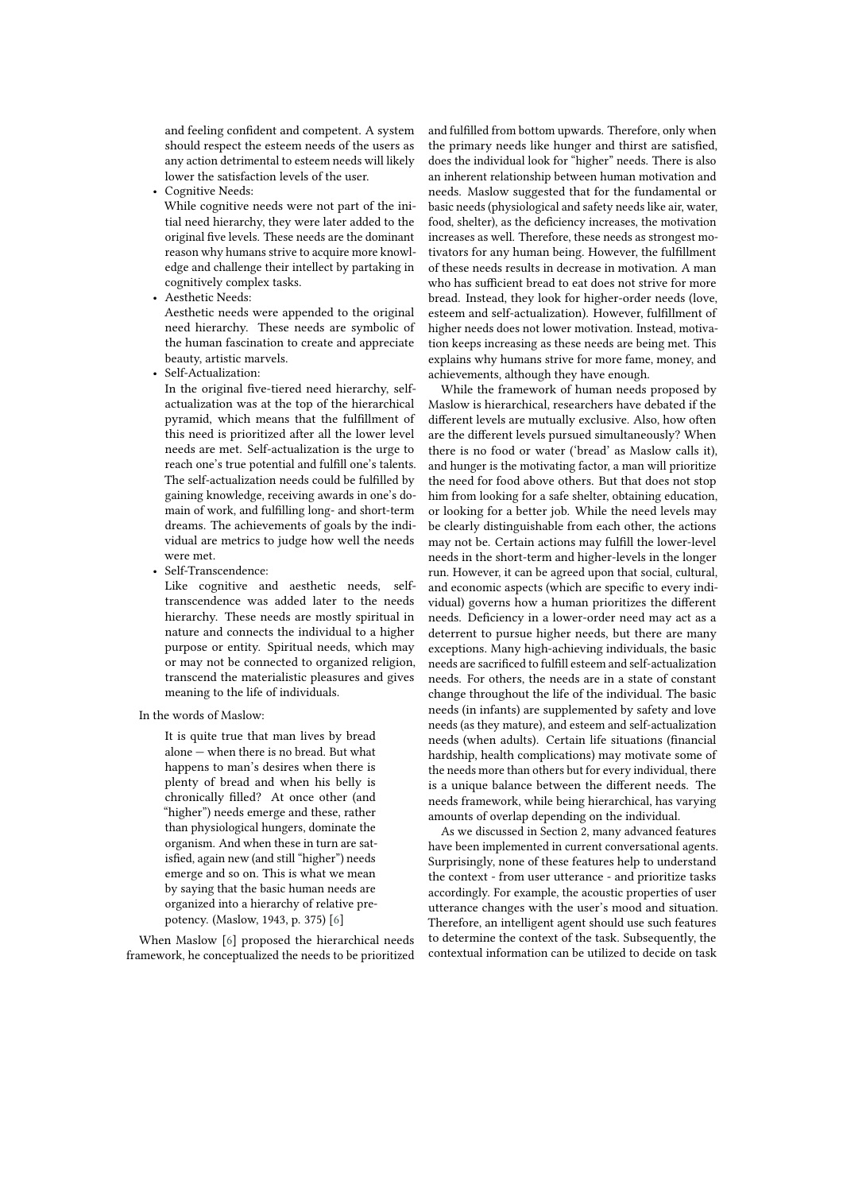and feeling confident and competent. A system should respect the esteem needs of the users as any action detrimental to esteem needs will likely lower the satisfaction levels of the user.

• Cognitive Needs:

While cognitive needs were not part of the initial need hierarchy, they were later added to the original five levels. These needs are the dominant reason why humans strive to acquire more knowledge and challenge their intellect by partaking in cognitively complex tasks.

• Aesthetic Needs:

Aesthetic needs were appended to the original need hierarchy. These needs are symbolic of the human fascination to create and appreciate beauty, artistic marvels.

• Self-Actualization:

In the original five-tiered need hierarchy, selfactualization was at the top of the hierarchical pyramid, which means that the fulfillment of this need is prioritized after all the lower level needs are met. Self-actualization is the urge to reach one's true potential and fulfill one's talents. The self-actualization needs could be fulfilled by gaining knowledge, receiving awards in one's domain of work, and fulfilling long- and short-term dreams. The achievements of goals by the individual are metrics to judge how well the needs were met.

• Self-Transcendence:

Like cognitive and aesthetic needs, selftranscendence was added later to the needs hierarchy. These needs are mostly spiritual in nature and connects the individual to a higher purpose or entity. Spiritual needs, which may or may not be connected to organized religion, transcend the materialistic pleasures and gives meaning to the life of individuals.

In the words of Maslow:

It is quite true that man lives by bread alone — when there is no bread. But what happens to man's desires when there is plenty of bread and when his belly is chronically filled? At once other (and "higher") needs emerge and these, rather than physiological hungers, dominate the organism. And when these in turn are satisfied, again new (and still "higher") needs emerge and so on. This is what we mean by saying that the basic human needs are organized into a hierarchy of relative prepotency. (Maslow, 1943, p. 375) [\[6\]](#page-7-0)

When Maslow [\[6\]](#page-7-0) proposed the hierarchical needs framework, he conceptualized the needs to be prioritized and fulfilled from bottom upwards. Therefore, only when the primary needs like hunger and thirst are satisfied, does the individual look for "higher" needs. There is also an inherent relationship between human motivation and needs. Maslow suggested that for the fundamental or basic needs (physiological and safety needs like air, water, food, shelter), as the deficiency increases, the motivation increases as well. Therefore, these needs as strongest motivators for any human being. However, the fulfillment of these needs results in decrease in motivation. A man who has sufficient bread to eat does not strive for more bread. Instead, they look for higher-order needs (love, esteem and self-actualization). However, fulfillment of higher needs does not lower motivation. Instead, motivation keeps increasing as these needs are being met. This explains why humans strive for more fame, money, and achievements, although they have enough.

While the framework of human needs proposed by Maslow is hierarchical, researchers have debated if the different levels are mutually exclusive. Also, how often are the different levels pursued simultaneously? When there is no food or water ('bread' as Maslow calls it), and hunger is the motivating factor, a man will prioritize the need for food above others. But that does not stop him from looking for a safe shelter, obtaining education, or looking for a better job. While the need levels may be clearly distinguishable from each other, the actions may not be. Certain actions may fulfill the lower-level needs in the short-term and higher-levels in the longer run. However, it can be agreed upon that social, cultural, and economic aspects (which are specific to every individual) governs how a human prioritizes the different needs. Deficiency in a lower-order need may act as a deterrent to pursue higher needs, but there are many exceptions. Many high-achieving individuals, the basic needs are sacrificed to fulfill esteem and self-actualization needs. For others, the needs are in a state of constant change throughout the life of the individual. The basic needs (in infants) are supplemented by safety and love needs (as they mature), and esteem and self-actualization needs (when adults). Certain life situations (financial hardship, health complications) may motivate some of the needs more than others but for every individual, there is a unique balance between the different needs. The needs framework, while being hierarchical, has varying amounts of overlap depending on the individual.

As we discussed in Section 2, many advanced features have been implemented in current conversational agents. Surprisingly, none of these features help to understand the context - from user utterance - and prioritize tasks accordingly. For example, the acoustic properties of user utterance changes with the user's mood and situation. Therefore, an intelligent agent should use such features to determine the context of the task. Subsequently, the contextual information can be utilized to decide on task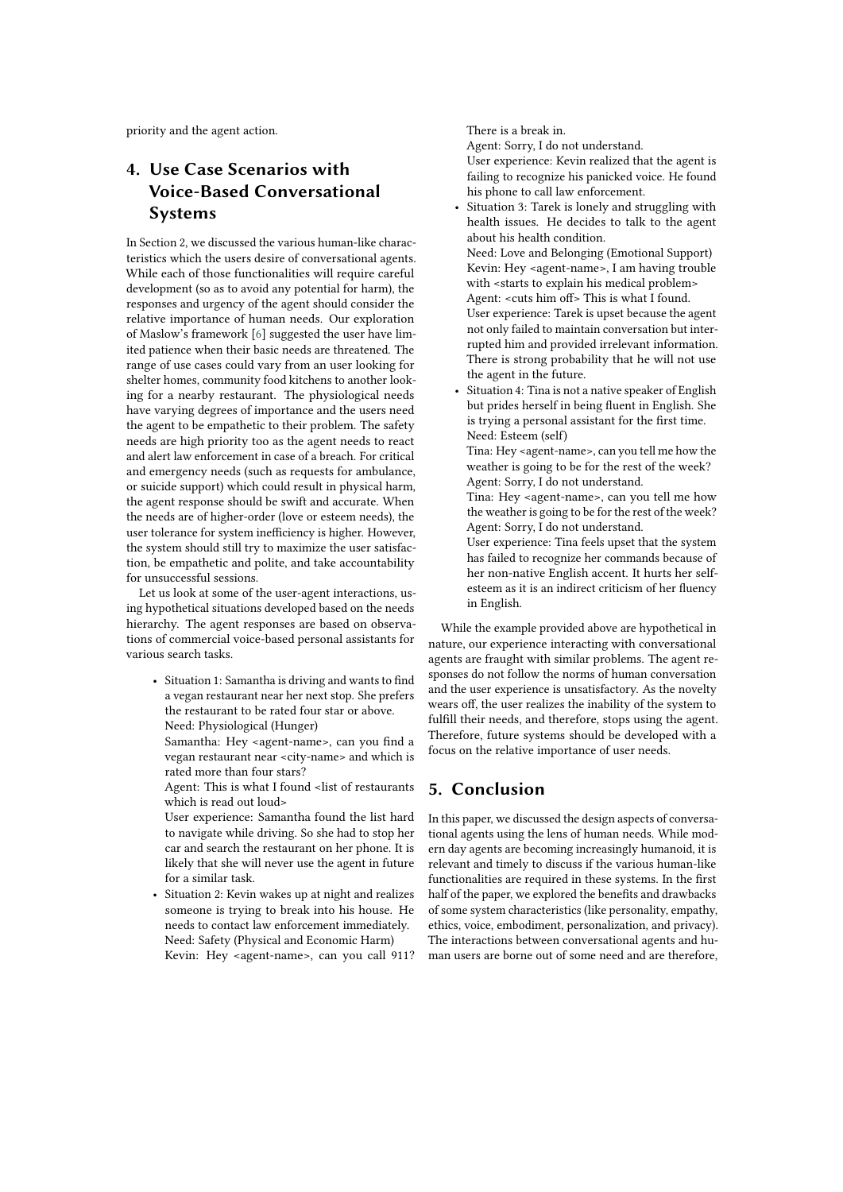priority and the agent action.

## **4. Use Case Scenarios with Voice-Based Conversational Systems**

In Section 2, we discussed the various human-like characteristics which the users desire of conversational agents. While each of those functionalities will require careful development (so as to avoid any potential for harm), the responses and urgency of the agent should consider the relative importance of human needs. Our exploration of Maslow's framework [\[6\]](#page-7-0) suggested the user have limited patience when their basic needs are threatened. The range of use cases could vary from an user looking for shelter homes, community food kitchens to another looking for a nearby restaurant. The physiological needs have varying degrees of importance and the users need the agent to be empathetic to their problem. The safety needs are high priority too as the agent needs to react and alert law enforcement in case of a breach. For critical and emergency needs (such as requests for ambulance, or suicide support) which could result in physical harm, the agent response should be swift and accurate. When the needs are of higher-order (love or esteem needs), the user tolerance for system inefficiency is higher. However, the system should still try to maximize the user satisfaction, be empathetic and polite, and take accountability for unsuccessful sessions.

Let us look at some of the user-agent interactions, using hypothetical situations developed based on the needs hierarchy. The agent responses are based on observations of commercial voice-based personal assistants for various search tasks.

• Situation 1: Samantha is driving and wants to find a vegan restaurant near her next stop. She prefers the restaurant to be rated four star or above. Need: Physiological (Hunger)

Samantha: Hey <agent-name>, can you find a vegan restaurant near <city-name> and which is rated more than four stars?

Agent: This is what I found <list of restaurants which is read out loud>

User experience: Samantha found the list hard to navigate while driving. So she had to stop her car and search the restaurant on her phone. It is likely that she will never use the agent in future for a similar task.

• Situation 2: Kevin wakes up at night and realizes someone is trying to break into his house. He needs to contact law enforcement immediately. Need: Safety (Physical and Economic Harm) Kevin: Hey <agent-name>, can you call 911? There is a break in. Agent: Sorry, I do not understand. User experience: Kevin realized that the agent is failing to recognize his panicked voice. He found his phone to call law enforcement.

Situation 3: Tarek is lonely and struggling with health issues. He decides to talk to the agent about his health condition.

Need: Love and Belonging (Emotional Support) Kevin: Hey <agent-name>, I am having trouble with <starts to explain his medical problem> Agent: <cuts him off> This is what I found. User experience: Tarek is upset because the agent not only failed to maintain conversation but interrupted him and provided irrelevant information. There is strong probability that he will not use the agent in the future.

• Situation 4: Tina is not a native speaker of English but prides herself in being fluent in English. She is trying a personal assistant for the first time. Need: Esteem (self)

Tina: Hey <agent-name>, can you tell me how the weather is going to be for the rest of the week? Agent: Sorry, I do not understand.

Tina: Hey <agent-name>, can you tell me how the weather is going to be for the rest of the week? Agent: Sorry, I do not understand.

User experience: Tina feels upset that the system has failed to recognize her commands because of her non-native English accent. It hurts her selfesteem as it is an indirect criticism of her fluency in English.

While the example provided above are hypothetical in nature, our experience interacting with conversational agents are fraught with similar problems. The agent responses do not follow the norms of human conversation and the user experience is unsatisfactory. As the novelty wears off, the user realizes the inability of the system to fulfill their needs, and therefore, stops using the agent. Therefore, future systems should be developed with a focus on the relative importance of user needs.

### **5. Conclusion**

In this paper, we discussed the design aspects of conversational agents using the lens of human needs. While modern day agents are becoming increasingly humanoid, it is relevant and timely to discuss if the various human-like functionalities are required in these systems. In the first half of the paper, we explored the benefits and drawbacks of some system characteristics (like personality, empathy, ethics, voice, embodiment, personalization, and privacy). The interactions between conversational agents and human users are borne out of some need and are therefore,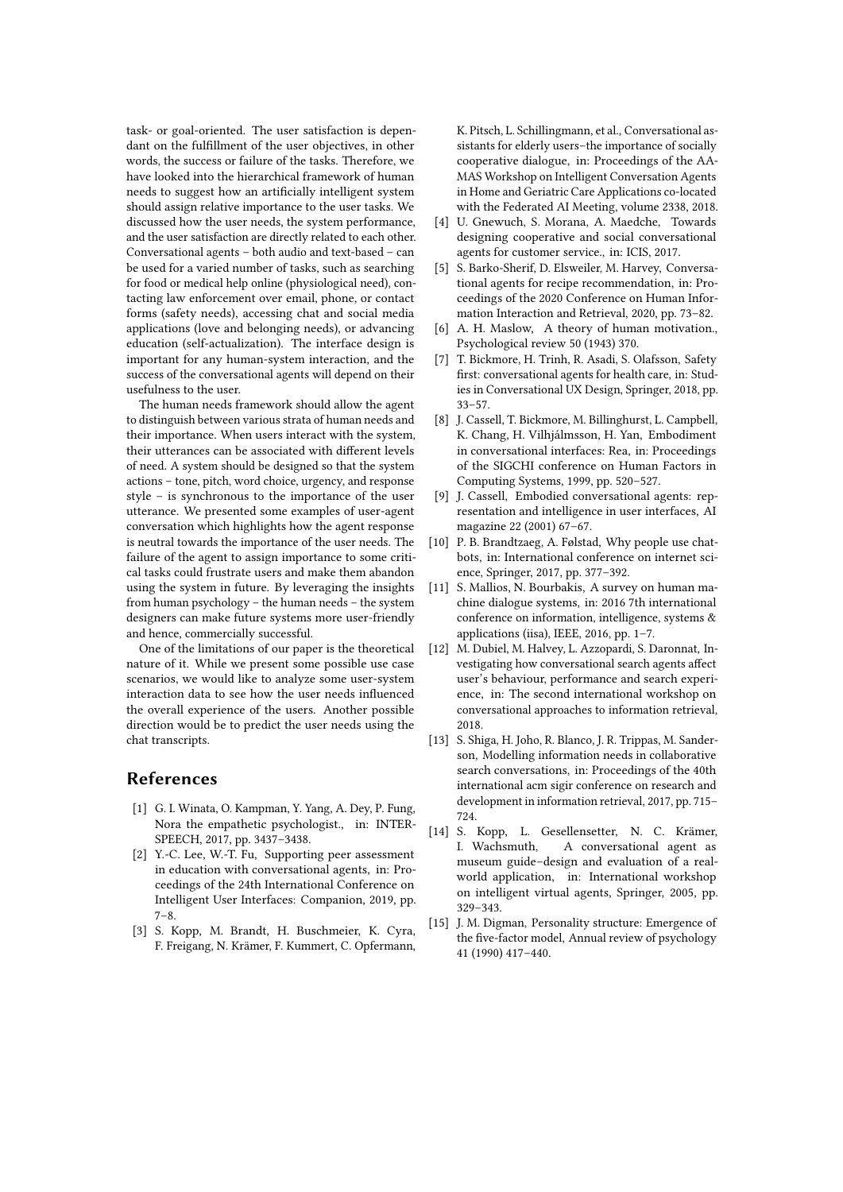task- or goal-oriented. The user satisfaction is dependant on the fulfillment of the user objectives, in other words, the success or failure of the tasks. Therefore, we have looked into the hierarchical framework of human needs to suggest how an artificially intelligent system should assign relative importance to the user tasks. We discussed how the user needs, the system performance, and the user satisfaction are directly related to each other. Conversational agents – both audio and text-based – can be used for a varied number of tasks, such as searching for food or medical help online (physiological need), contacting law enforcement over email, phone, or contact forms (safety needs), accessing chat and social media applications (love and belonging needs), or advancing education (self-actualization). The interface design is important for any human-system interaction, and the success of the conversational agents will depend on their usefulness to the user.

The human needs framework should allow the agent to distinguish between various strata of human needs and their importance. When users interact with the system, their utterances can be associated with different levels of need. A system should be designed so that the system actions – tone, pitch, word choice, urgency, and response style – is synchronous to the importance of the user utterance. We presented some examples of user-agent conversation which highlights how the agent response is neutral towards the importance of the user needs. The failure of the agent to assign importance to some critical tasks could frustrate users and make them abandon using the system in future. By leveraging the insights from human psychology – the human needs – the system designers can make future systems more user-friendly and hence, commercially successful.

One of the limitations of our paper is the theoretical nature of it. While we present some possible use case scenarios, we would like to analyze some user-system interaction data to see how the user needs influenced the overall experience of the users. Another possible direction would be to predict the user needs using the chat transcripts.

### **References**

- <span id="page-7-9"></span>[1] G. I. Winata, O. Kampman, Y. Yang, A. Dey, P. Fung, Nora the empathetic psychologist., in: INTER-SPEECH, 2017, pp. 3437–3438.
- [2] Y.-C. Lee, W.-T. Fu, Supporting peer assessment in education with conversational agents, in: Proceedings of the 24th International Conference on Intelligent User Interfaces: Companion, 2019, pp.  $7 - 8$
- [3] S. Kopp, M. Brandt, H. Buschmeier, K. Cyra, F. Freigang, N. Krämer, F. Kummert, C. Opfermann,

K. Pitsch, L. Schillingmann, et al., Conversational assistants for elderly users–the importance of socially cooperative dialogue, in: Proceedings of the AA-MAS Workshop on Intelligent Conversation Agents in Home and Geriatric Care Applications co-located with the Federated AI Meeting, volume 2338, 2018.

- [4] U. Gnewuch, S. Morana, A. Maedche, Towards designing cooperative and social conversational agents for customer service., in: ICIS, 2017.
- [5] S. Barko-Sherif, D. Elsweiler, M. Harvey, Conversational agents for recipe recommendation, in: Proceedings of the 2020 Conference on Human Information Interaction and Retrieval, 2020, pp. 73–82.
- <span id="page-7-0"></span>[6] A. H. Maslow, A theory of human motivation., Psychological review 50 (1943) 370.
- <span id="page-7-1"></span>[7] T. Bickmore, H. Trinh, R. Asadi, S. Olafsson, Safety first: conversational agents for health care, in: Studies in Conversational UX Design, Springer, 2018, pp. 33–57.
- <span id="page-7-2"></span>[8] J. Cassell, T. Bickmore, M. Billinghurst, L. Campbell, K. Chang, H. Vilhjálmsson, H. Yan, Embodiment in conversational interfaces: Rea, in: Proceedings of the SIGCHI conference on Human Factors in Computing Systems, 1999, pp. 520–527.
- <span id="page-7-3"></span>[9] J. Cassell, Embodied conversational agents: representation and intelligence in user interfaces, AI magazine 22 (2001) 67–67.
- <span id="page-7-4"></span>[10] P. B. Brandtzaeg, A. Følstad, Why people use chatbots, in: International conference on internet science, Springer, 2017, pp. 377–392.
- <span id="page-7-5"></span>[11] S. Mallios, N. Bourbakis, A survey on human machine dialogue systems, in: 2016 7th international conference on information, intelligence, systems & applications (iisa), IEEE, 2016, pp. 1–7.
- <span id="page-7-6"></span>[12] M. Dubiel, M. Halvey, L. Azzopardi, S. Daronnat, Investigating how conversational search agents affect user's behaviour, performance and search experience, in: The second international workshop on conversational approaches to information retrieval, 2018.
- <span id="page-7-7"></span>[13] S. Shiga, H. Joho, R. Blanco, J. R. Trippas, M. Sanderson, Modelling information needs in collaborative search conversations, in: Proceedings of the 40th international acm sigir conference on research and development in information retrieval, 2017, pp. 715– 724.
- <span id="page-7-8"></span>[14] S. Kopp, L. Gesellensetter, N. C. Krämer, I. Wachsmuth, A conversational agent as museum guide–design and evaluation of a realworld application, in: International workshop on intelligent virtual agents, Springer, 2005, pp. 329–343.
- <span id="page-7-10"></span>[15] J. M. Digman, Personality structure: Emergence of the five-factor model, Annual review of psychology 41 (1990) 417–440.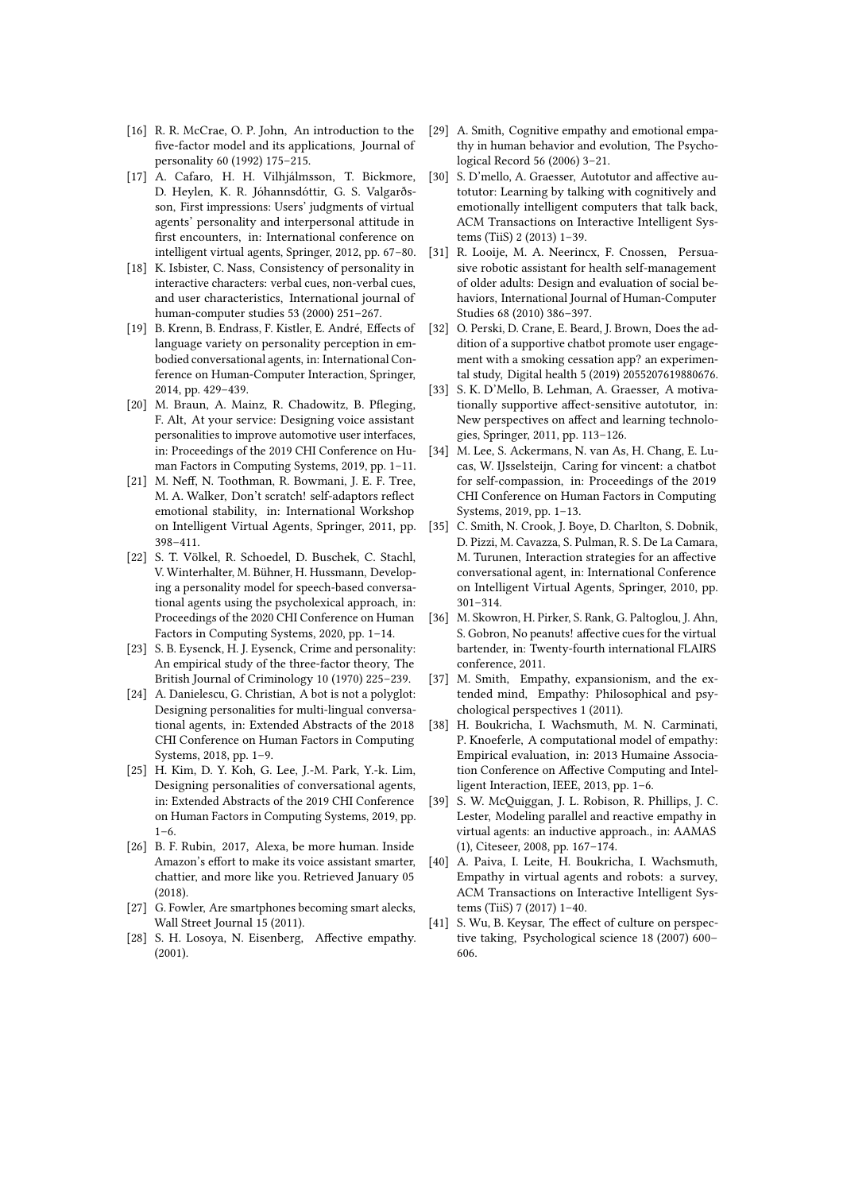- <span id="page-8-0"></span>[16] R. R. McCrae, O. P. John, An introduction to the five-factor model and its applications, Journal of personality 60 (1992) 175–215.
- <span id="page-8-1"></span>[17] A. Cafaro, H. H. Vilhjálmsson, T. Bickmore, D. Heylen, K. R. Jóhannsdóttir, G. S. Valgarðsson, First impressions: Users' judgments of virtual agents' personality and interpersonal attitude in first encounters, in: International conference on intelligent virtual agents, Springer, 2012, pp. 67–80.
- <span id="page-8-2"></span>[18] K. Isbister, C. Nass, Consistency of personality in interactive characters: verbal cues, non-verbal cues, and user characteristics, International journal of human-computer studies 53 (2000) 251–267.
- <span id="page-8-3"></span>[19] B. Krenn, B. Endrass, F. Kistler, E. André, Effects of language variety on personality perception in embodied conversational agents, in: International Conference on Human-Computer Interaction, Springer, 2014, pp. 429–439.
- <span id="page-8-4"></span>[20] M. Braun, A. Mainz, R. Chadowitz, B. Pfleging, F. Alt, At your service: Designing voice assistant personalities to improve automotive user interfaces, in: Proceedings of the 2019 CHI Conference on Human Factors in Computing Systems, 2019, pp. 1–11.
- <span id="page-8-5"></span>[21] M. Neff, N. Toothman, R. Bowmani, J. E. F. Tree, M. A. Walker, Don't scratch! self-adaptors reflect emotional stability, in: International Workshop on Intelligent Virtual Agents, Springer, 2011, pp. 398–411.
- <span id="page-8-6"></span>[22] S. T. Völkel, R. Schoedel, D. Buschek, C. Stachl, V. Winterhalter, M. Bühner, H. Hussmann, Developing a personality model for speech-based conversational agents using the psycholexical approach, in: Proceedings of the 2020 CHI Conference on Human Factors in Computing Systems, 2020, pp. 1–14.
- <span id="page-8-7"></span>[23] S. B. Eysenck, H. J. Eysenck, Crime and personality: An empirical study of the three-factor theory, The British Journal of Criminology 10 (1970) 225–239.
- <span id="page-8-8"></span>[24] A. Danielescu, G. Christian, A bot is not a polyglot: Designing personalities for multi-lingual conversational agents, in: Extended Abstracts of the 2018 CHI Conference on Human Factors in Computing Systems, 2018, pp. 1–9.
- <span id="page-8-9"></span>[25] H. Kim, D. Y. Koh, G. Lee, J.-M. Park, Y.-k. Lim, Designing personalities of conversational agents, in: Extended Abstracts of the 2019 CHI Conference on Human Factors in Computing Systems, 2019, pp.  $1 - 6$ .
- <span id="page-8-10"></span>[26] B. F. Rubin, 2017, Alexa, be more human. Inside Amazon's effort to make its voice assistant smarter, chattier, and more like you. Retrieved January 05 (2018).
- <span id="page-8-11"></span>[27] G. Fowler, Are smartphones becoming smart alecks, Wall Street Journal 15 (2011).
- <span id="page-8-12"></span>[28] S. H. Losoya, N. Eisenberg, Affective empathy. (2001).
- <span id="page-8-13"></span>[29] A. Smith, Cognitive empathy and emotional empathy in human behavior and evolution, The Psychological Record 56 (2006) 3–21.
- <span id="page-8-14"></span>[30] S. D'mello, A. Graesser, Autotutor and affective autotutor: Learning by talking with cognitively and emotionally intelligent computers that talk back, ACM Transactions on Interactive Intelligent Systems (TiiS) 2 (2013) 1–39.
- <span id="page-8-15"></span>[31] R. Looije, M. A. Neerincx, F. Cnossen, Persuasive robotic assistant for health self-management of older adults: Design and evaluation of social behaviors, International Journal of Human-Computer Studies 68 (2010) 386–397.
- <span id="page-8-16"></span>[32] O. Perski, D. Crane, E. Beard, J. Brown, Does the addition of a supportive chatbot promote user engagement with a smoking cessation app? an experimental study, Digital health 5 (2019) 2055207619880676.
- <span id="page-8-17"></span>[33] S. K. D'Mello, B. Lehman, A. Graesser, A motivationally supportive affect-sensitive autotutor, in: New perspectives on affect and learning technologies, Springer, 2011, pp. 113–126.
- <span id="page-8-18"></span>[34] M. Lee, S. Ackermans, N. van As, H. Chang, E. Lucas, W. IJsselsteijn, Caring for vincent: a chatbot for self-compassion, in: Proceedings of the 2019 CHI Conference on Human Factors in Computing Systems, 2019, pp. 1–13.
- <span id="page-8-19"></span>[35] C. Smith, N. Crook, J. Boye, D. Charlton, S. Dobnik, D. Pizzi, M. Cavazza, S. Pulman, R. S. De La Camara, M. Turunen, Interaction strategies for an affective conversational agent, in: International Conference on Intelligent Virtual Agents, Springer, 2010, pp. 301–314.
- <span id="page-8-20"></span>[36] M. Skowron, H. Pirker, S. Rank, G. Paltoglou, J. Ahn, S. Gobron, No peanuts! affective cues for the virtual bartender, in: Twenty-fourth international FLAIRS conference, 2011.
- <span id="page-8-21"></span>[37] M. Smith, Empathy, expansionism, and the extended mind, Empathy: Philosophical and psychological perspectives 1 (2011).
- <span id="page-8-22"></span>[38] H. Boukricha, I. Wachsmuth, M. N. Carminati, P. Knoeferle, A computational model of empathy: Empirical evaluation, in: 2013 Humaine Association Conference on Affective Computing and Intelligent Interaction, IEEE, 2013, pp. 1–6.
- <span id="page-8-23"></span>[39] S. W. McQuiggan, J. L. Robison, R. Phillips, J. C. Lester, Modeling parallel and reactive empathy in virtual agents: an inductive approach., in: AAMAS (1), Citeseer, 2008, pp. 167–174.
- <span id="page-8-24"></span>[40] A. Paiva, I. Leite, H. Boukricha, I. Wachsmuth, Empathy in virtual agents and robots: a survey, ACM Transactions on Interactive Intelligent Systems (TiiS) 7 (2017) 1–40.
- <span id="page-8-25"></span>[41] S. Wu, B. Keysar, The effect of culture on perspective taking, Psychological science 18 (2007) 600– 606.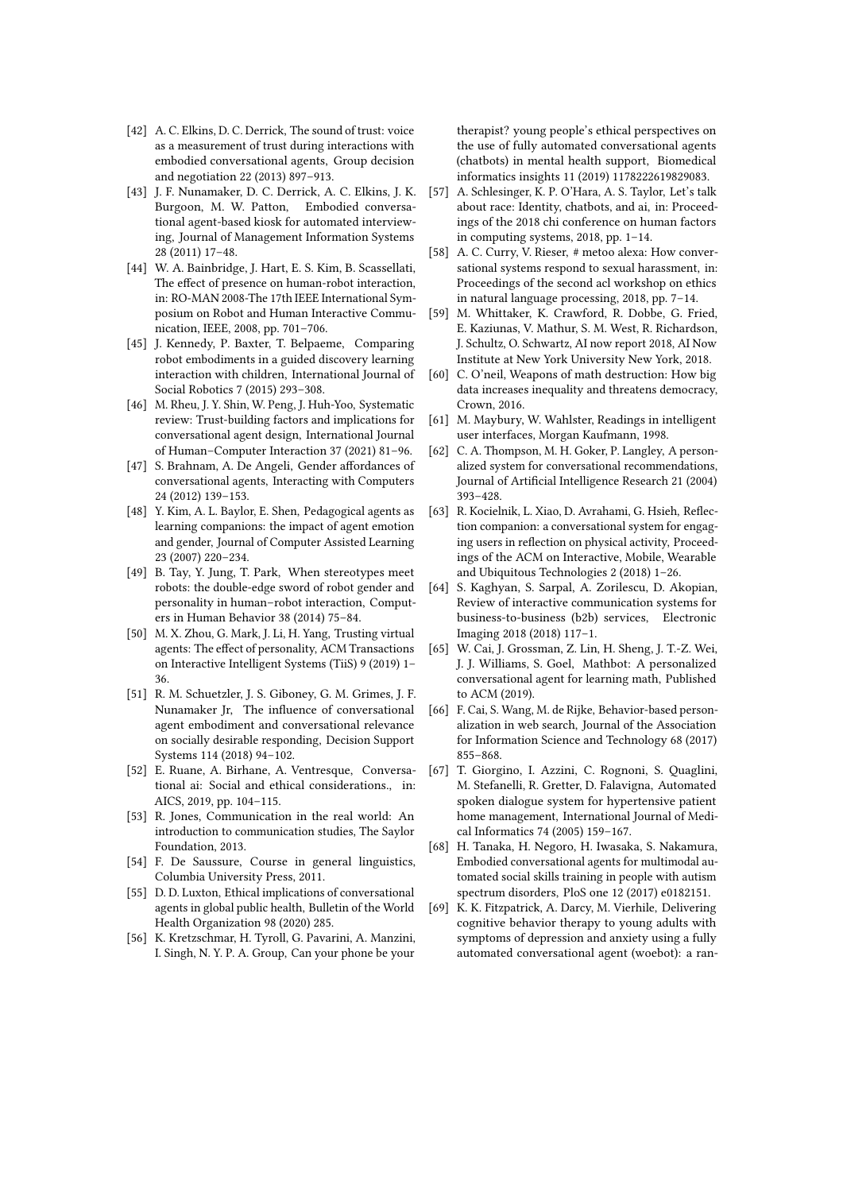- <span id="page-9-0"></span>[42] A. C. Elkins, D. C. Derrick, The sound of trust: voice as a measurement of trust during interactions with embodied conversational agents, Group decision and negotiation 22 (2013) 897–913.
- <span id="page-9-1"></span>[43] J. F. Nunamaker, D. C. Derrick, A. C. Elkins, J. K. Burgoon, M. W. Patton, Embodied conversational agent-based kiosk for automated interviewing, Journal of Management Information Systems 28 (2011) 17–48.
- <span id="page-9-2"></span>[44] W. A. Bainbridge, J. Hart, E. S. Kim, B. Scassellati, The effect of presence on human-robot interaction, in: RO-MAN 2008-The 17th IEEE International Symposium on Robot and Human Interactive Communication, IEEE, 2008, pp. 701–706.
- <span id="page-9-3"></span>[45] J. Kennedy, P. Baxter, T. Belpaeme, Comparing robot embodiments in a guided discovery learning interaction with children, International Journal of Social Robotics 7 (2015) 293–308.
- <span id="page-9-4"></span>[46] M. Rheu, J. Y. Shin, W. Peng, J. Huh-Yoo, Systematic review: Trust-building factors and implications for conversational agent design, International Journal of Human–Computer Interaction 37 (2021) 81–96.
- <span id="page-9-5"></span>[47] S. Brahnam, A. De Angeli, Gender affordances of conversational agents, Interacting with Computers 24 (2012) 139–153.
- <span id="page-9-6"></span>[48] Y. Kim, A. L. Baylor, E. Shen, Pedagogical agents as learning companions: the impact of agent emotion and gender, Journal of Computer Assisted Learning 23 (2007) 220–234.
- <span id="page-9-7"></span>[49] B. Tay, Y. Jung, T. Park, When stereotypes meet robots: the double-edge sword of robot gender and personality in human–robot interaction, Computers in Human Behavior 38 (2014) 75–84.
- <span id="page-9-8"></span>[50] M. X. Zhou, G. Mark, J. Li, H. Yang, Trusting virtual agents: The effect of personality, ACM Transactions on Interactive Intelligent Systems (TiiS) 9 (2019) 1– 36.
- <span id="page-9-9"></span>[51] R. M. Schuetzler, J. S. Giboney, G. M. Grimes, J. F. Nunamaker Jr, The influence of conversational agent embodiment and conversational relevance on socially desirable responding, Decision Support Systems 114 (2018) 94–102.
- <span id="page-9-10"></span>[52] E. Ruane, A. Birhane, A. Ventresque, Conversational ai: Social and ethical considerations., in: AICS, 2019, pp. 104–115.
- <span id="page-9-11"></span>[53] R. Jones, Communication in the real world: An introduction to communication studies, The Saylor Foundation, 2013.
- <span id="page-9-12"></span>[54] F. De Saussure, Course in general linguistics, Columbia University Press, 2011.
- <span id="page-9-13"></span>[55] D. D. Luxton, Ethical implications of conversational agents in global public health, Bulletin of the World Health Organization 98 (2020) 285.
- <span id="page-9-14"></span>[56] K. Kretzschmar, H. Tyroll, G. Pavarini, A. Manzini, I. Singh, N. Y. P. A. Group, Can your phone be your

therapist? young people's ethical perspectives on the use of fully automated conversational agents (chatbots) in mental health support, Biomedical informatics insights 11 (2019) 1178222619829083.

- <span id="page-9-15"></span>[57] A. Schlesinger, K. P. O'Hara, A. S. Taylor, Let's talk about race: Identity, chatbots, and ai, in: Proceedings of the 2018 chi conference on human factors in computing systems, 2018, pp. 1–14.
- <span id="page-9-16"></span>[58] A. C. Curry, V. Rieser, # metoo alexa: How conversational systems respond to sexual harassment, in: Proceedings of the second acl workshop on ethics in natural language processing, 2018, pp. 7–14.
- <span id="page-9-17"></span>[59] M. Whittaker, K. Crawford, R. Dobbe, G. Fried, E. Kaziunas, V. Mathur, S. M. West, R. Richardson, J. Schultz, O. Schwartz, AI now report 2018, AI Now Institute at New York University New York, 2018.
- <span id="page-9-18"></span>[60] C. O'neil, Weapons of math destruction: How big data increases inequality and threatens democracy, Crown, 2016.
- <span id="page-9-19"></span>[61] M. Maybury, W. Wahlster, Readings in intelligent user interfaces, Morgan Kaufmann, 1998.
- <span id="page-9-20"></span>[62] C. A. Thompson, M. H. Goker, P. Langley, A personalized system for conversational recommendations, Journal of Artificial Intelligence Research 21 (2004) 393–428.
- <span id="page-9-21"></span>[63] R. Kocielnik, L. Xiao, D. Avrahami, G. Hsieh, Reflection companion: a conversational system for engaging users in reflection on physical activity, Proceedings of the ACM on Interactive, Mobile, Wearable and Ubiquitous Technologies 2 (2018) 1–26.
- <span id="page-9-22"></span>[64] S. Kaghyan, S. Sarpal, A. Zorilescu, D. Akopian, Review of interactive communication systems for business-to-business (b2b) services, Electronic Imaging 2018 (2018) 117–1.
- <span id="page-9-23"></span>[65] W. Cai, J. Grossman, Z. Lin, H. Sheng, J. T.-Z. Wei, J. J. Williams, S. Goel, Mathbot: A personalized conversational agent for learning math, Published to ACM (2019).
- <span id="page-9-24"></span>[66] F. Cai, S. Wang, M. de Rijke, Behavior-based personalization in web search, Journal of the Association for Information Science and Technology 68 (2017) 855–868.
- <span id="page-9-25"></span>[67] T. Giorgino, I. Azzini, C. Rognoni, S. Quaglini, M. Stefanelli, R. Gretter, D. Falavigna, Automated spoken dialogue system for hypertensive patient home management, International Journal of Medical Informatics 74 (2005) 159–167.
- <span id="page-9-26"></span>[68] H. Tanaka, H. Negoro, H. Iwasaka, S. Nakamura, Embodied conversational agents for multimodal automated social skills training in people with autism spectrum disorders, PloS one 12 (2017) e0182151.
- <span id="page-9-27"></span>[69] K. K. Fitzpatrick, A. Darcy, M. Vierhile, Delivering cognitive behavior therapy to young adults with symptoms of depression and anxiety using a fully automated conversational agent (woebot): a ran-